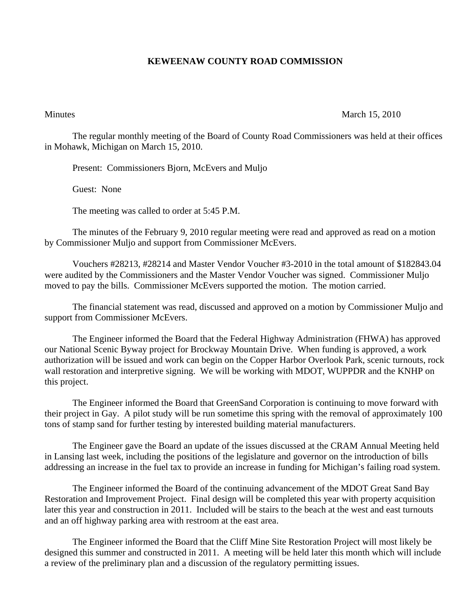## **KEWEENAW COUNTY ROAD COMMISSION**

Minutes March 15, 2010

The regular monthly meeting of the Board of County Road Commissioners was held at their offices in Mohawk, Michigan on March 15, 2010.

Present: Commissioners Bjorn, McEvers and Muljo

Guest: None

The meeting was called to order at 5:45 P.M.

 The minutes of the February 9, 2010 regular meeting were read and approved as read on a motion by Commissioner Muljo and support from Commissioner McEvers.

 Vouchers #28213, #28214 and Master Vendor Voucher #3-2010 in the total amount of \$182843.04 were audited by the Commissioners and the Master Vendor Voucher was signed. Commissioner Muljo moved to pay the bills. Commissioner McEvers supported the motion. The motion carried.

 The financial statement was read, discussed and approved on a motion by Commissioner Muljo and support from Commissioner McEvers.

 The Engineer informed the Board that the Federal Highway Administration (FHWA) has approved our National Scenic Byway project for Brockway Mountain Drive. When funding is approved, a work authorization will be issued and work can begin on the Copper Harbor Overlook Park, scenic turnouts, rock wall restoration and interpretive signing. We will be working with MDOT, WUPPDR and the KNHP on this project.

 The Engineer informed the Board that GreenSand Corporation is continuing to move forward with their project in Gay. A pilot study will be run sometime this spring with the removal of approximately 100 tons of stamp sand for further testing by interested building material manufacturers.

 The Engineer gave the Board an update of the issues discussed at the CRAM Annual Meeting held in Lansing last week, including the positions of the legislature and governor on the introduction of bills addressing an increase in the fuel tax to provide an increase in funding for Michigan's failing road system.

 The Engineer informed the Board of the continuing advancement of the MDOT Great Sand Bay Restoration and Improvement Project. Final design will be completed this year with property acquisition later this year and construction in 2011. Included will be stairs to the beach at the west and east turnouts and an off highway parking area with restroom at the east area.

 The Engineer informed the Board that the Cliff Mine Site Restoration Project will most likely be designed this summer and constructed in 2011. A meeting will be held later this month which will include a review of the preliminary plan and a discussion of the regulatory permitting issues.